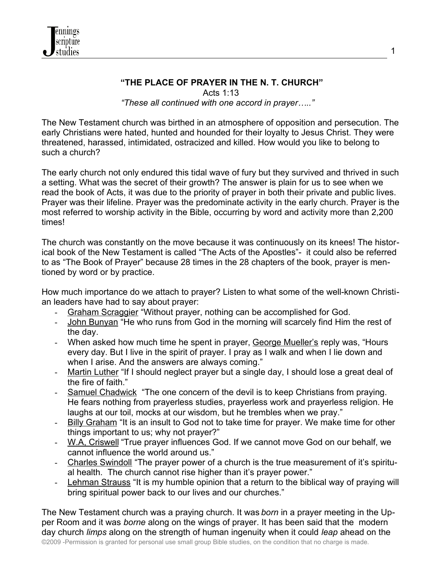

### **"THE PLACE OF PRAYER IN THE N. T. CHURCH"** Acts 1:13 *"These all continued with one accord in prayer….."*

The New Testament church was birthed in an atmosphere of opposition and persecution. The early Christians were hated, hunted and hounded for their loyalty to Jesus Christ. They were threatened, harassed, intimidated, ostracized and killed. How would you like to belong to such a church?

The early church not only endured this tidal wave of fury but they survived and thrived in such a setting. What was the secret of their growth? The answer is plain for us to see when we read the book of Acts, it was due to the priority of prayer in both their private and public lives. Prayer was their lifeline. Prayer was the predominate activity in the early church. Prayer is the most referred to worship activity in the Bible, occurring by word and activity more than 2,200 times!

The church was constantly on the move because it was continuously on its knees! The historical book of the New Testament is called "The Acts of the Apostles"- it could also be referred to as "The Book of Prayer" because 28 times in the 28 chapters of the book, prayer is mentioned by word or by practice.

How much importance do we attach to prayer? Listen to what some of the well-known Christian leaders have had to say about prayer:

- Graham Scraggier "Without prayer, nothing can be accomplished for God.
- John Bunyan "He who runs from God in the morning will scarcely find Him the rest of the day.
- When asked how much time he spent in prayer, George Mueller's reply was, "Hours every day. But I live in the spirit of prayer. I pray as I walk and when I lie down and when I arise. And the answers are always coming."
- Martin Luther "If I should neglect prayer but a single day, I should lose a great deal of the fire of faith."
- Samuel Chadwick "The one concern of the devil is to keep Christians from praying. He fears nothing from prayerless studies, prayerless work and prayerless religion. He laughs at our toil, mocks at our wisdom, but he trembles when we pray."
- Billy Graham "It is an insult to God not to take time for prayer. We make time for other things important to us; why not prayer?"
- W.A, Criswell "True prayer influences God. If we cannot move God on our behalf, we cannot influence the world around us."
- Charles Swindoll "The prayer power of a church is the true measurement of it's spiritual health. The church cannot rise higher than it's prayer power."
- Lehman Strauss "It is my humble opinion that a return to the biblical way of praying will bring spiritual power back to our lives and our churches."

The New Testament church was a praying church. It was *born* in a prayer meeting in the Upper Room and it was *borne* along on the wings of prayer. It has been said that the modern day church *limps* along on the strength of human ingenuity when it could *leap* ahead on the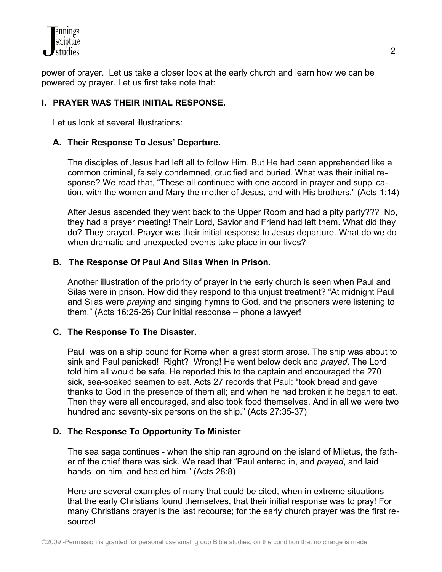power of prayer. Let us take a closer look at the early church and learn how we can be powered by prayer. Let us first take note that:

# **I. PRAYER WAS THEIR INITIAL RESPONSE.**

Let us look at several illustrations:

## **A. Their Response To Jesus' Departure.**

The disciples of Jesus had left all to follow Him. But He had been apprehended like a common criminal, falsely condemned, crucified and buried. What was their initial response? We read that, "These all continued with one accord in prayer and supplication, with the women and Mary the mother of Jesus, and with His brothers." (Acts 1:14)

After Jesus ascended they went back to the Upper Room and had a pity party??? No, they had a prayer meeting! Their Lord, Savior and Friend had left them. What did they do? They prayed. Prayer was their initial response to Jesus departure. What do we do when dramatic and unexpected events take place in our lives?

## **B. The Response Of Paul And Silas When In Prison.**

Another illustration of the priority of prayer in the early church is seen when Paul and Silas were in prison. How did they respond to this unjust treatment? "At midnight Paul and Silas were *praying* and singing hymns to God, and the prisoners were listening to them." (Acts 16:25-26) Our initial response – phone a lawyer!

### **C. The Response To The Disaster.**

Paul was on a ship bound for Rome when a great storm arose. The ship was about to sink and Paul panicked! Right? Wrong! He went below deck and *prayed*. The Lord told him all would be safe. He reported this to the captain and encouraged the 270 sick, sea-soaked seamen to eat. Acts 27 records that Paul: "took bread and gave thanks to God in the presence of them all; and when he had broken it he began to eat. Then they were all encouraged, and also took food themselves. And in all we were two hundred and seventy-six persons on the ship." (Acts 27:35-37)

### **D. The Response To Opportunity To Minister**.

 The sea saga continues - when the ship ran aground on the island of Miletus, the father of the chief there was sick. We read that "Paul entered in, and *prayed*, and laid hands on him, and healed him." (Acts 28:8)

Here are several examples of many that could be cited, when in extreme situations that the early Christians found themselves, that their initial response was to pray! For many Christians prayer is the last recourse; for the early church prayer was the first resource!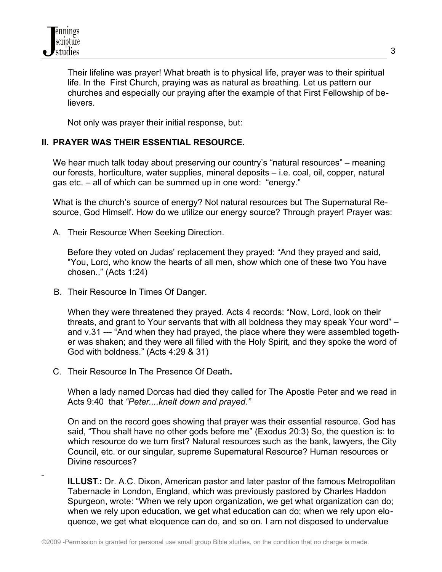Their lifeline was prayer! What breath is to physical life, prayer was to their spiritual life. In the First Church, praying was as natural as breathing. Let us pattern our churches and especially our praying after the example of that First Fellowship of believers.

Not only was prayer their initial response, but:

# **II. PRAYER WAS THEIR ESSENTIAL RESOURCE.**

We hear much talk today about preserving our country's "natural resources" – meaning our forests, horticulture, water supplies, mineral deposits – i.e. coal, oil, copper, natural gas etc. – all of which can be summed up in one word: "energy."

What is the church's source of energy? Not natural resources but The Supernatural Resource, God Himself. How do we utilize our energy source? Through prayer! Prayer was:

A. Their Resource When Seeking Direction.

Before they voted on Judas' replacement they prayed: "And they prayed and said, "You, Lord, who know the hearts of all men, show which one of these two You have chosen.." (Acts 1:24)

B. Their Resource In Times Of Danger.

When they were threatened they prayed. Acts 4 records: "Now, Lord, look on their threats, and grant to Your servants that with all boldness they may speak Your word" – and v.31 --- "And when they had prayed, the place where they were assembled together was shaken; and they were all filled with the Holy Spirit, and they spoke the word of God with boldness." (Acts 4:29 & 31)

C. Their Resource In The Presence Of Death**.** 

When a lady named Dorcas had died they called for The Apostle Peter and we read in Acts 9:40 that *"Peter....knelt down and prayed."*

On and on the record goes showing that prayer was their essential resource. God has said, "Thou shalt have no other gods before me" (Exodus 20:3) So, the question is: to which resource do we turn first? Natural resources such as the bank, lawyers, the City Council, etc. or our singular, supreme Supernatural Resource? Human resources or Divine resources?

**ILLUST**.**:** Dr. A.C. Dixon, American pastor and later pastor of the famous Metropolitan Tabernacle in London, England, which was previously pastored by Charles Haddon Spurgeon, wrote: "When we rely upon organization, we get what organization can do; when we rely upon education, we get what education can do; when we rely upon eloquence, we get what eloquence can do, and so on. I am not disposed to undervalue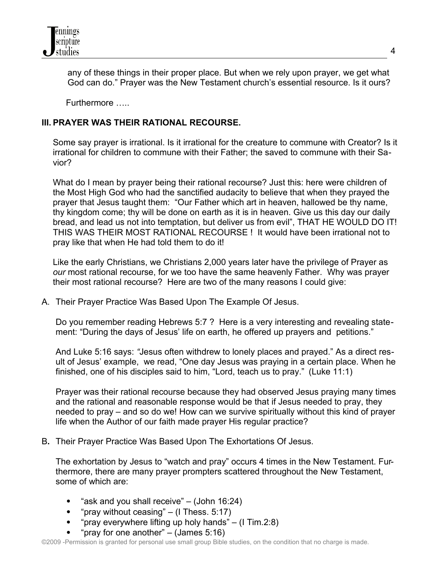

any of these things in their proper place. But when we rely upon prayer, we get what God can do." Prayer was the New Testament church's essential resource. Is it ours?

Furthermore …..

# **III. PRAYER WAS THEIR RATIONAL RECOURSE.**

Some say prayer is irrational. Is it irrational for the creature to commune with Creator? Is it irrational for children to commune with their Father; the saved to commune with their Savior?

What do I mean by prayer being their rational recourse? Just this: here were children of the Most High God who had the sanctified audacity to believe that when they prayed the prayer that Jesus taught them: "Our Father which art in heaven, hallowed be thy name, thy kingdom come; thy will be done on earth as it is in heaven. Give us this day our daily bread, and lead us not into temptation, but deliver us from evil", THAT HE WOULD DO IT! THIS WAS THEIR MOST RATIONAL RECOURSE ! It would have been irrational not to pray like that when He had told them to do it!

Like the early Christians, we Christians 2,000 years later have the privilege of Prayer as *our* most rational recourse, for we too have the same heavenly Father. Why was prayer their most rational recourse? Here are two of the many reasons I could give:

A. Their Prayer Practice Was Based Upon The Example Of Jesus.

Do you remember reading Hebrews 5:7 ? Here is a very interesting and revealing statement: "During the days of Jesus' life on earth, he offered up prayers and petitions."

And Luke 5:16 says: *"*Jesus often withdrew to lonely places and prayed." As a direct result of Jesus' example, we read, "One day Jesus was praying in a certain place. When he finished, one of his disciples said to him, "Lord, teach us to pray." (Luke 11:1)

Prayer was their rational recourse because they had observed Jesus praying many times and the rational and reasonable response would be that if Jesus needed to pray, they needed to pray – and so do we! How can we survive spiritually without this kind of prayer life when the Author of our faith made prayer His regular practice?

B**.** Their Prayer Practice Was Based Upon The Exhortations Of Jesus.

The exhortation by Jesus to "watch and pray" occurs 4 times in the New Testament. Furthermore, there are many prayer prompters scattered throughout the New Testament, some of which are:

- "ask and you shall receive"  $-$  (John 16:24)
- "pray without ceasing" (I Thess.  $5:17$ )
- "pray everywhere lifting up holy hands"  $-$  (1 Tim.2:8)
- "pray for one another" (James 5:16)

©2009 -Permission is granted for personal use small group Bible studies, on the condition that no charge is made.